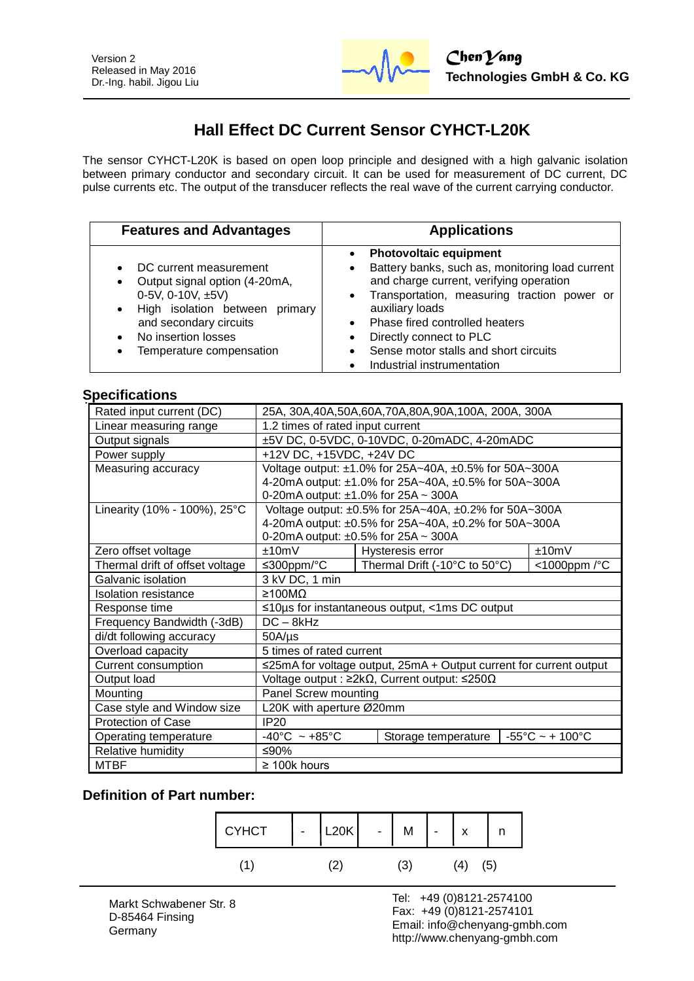

# **Hall Effect DC Current Sensor CYHCT-L20K**

The sensor CYHCT-L20K is based on open loop principle and designed with a high galvanic isolation between primary conductor and secondary circuit. It can be used for measurement of DC current, DC pulse currents etc. The output of the transducer reflects the real wave of the current carrying conductor.

| <b>Features and Advantages</b>                                                                                                                                                                                                          | <b>Applications</b>                                                                                                                                                                                                                                                                                                                                                          |  |
|-----------------------------------------------------------------------------------------------------------------------------------------------------------------------------------------------------------------------------------------|------------------------------------------------------------------------------------------------------------------------------------------------------------------------------------------------------------------------------------------------------------------------------------------------------------------------------------------------------------------------------|--|
| DC current measurement<br>Output signal option (4-20mA,<br>$\bullet$<br>0-5V, 0-10V, $\pm$ 5V)<br>High isolation between primary<br>$\bullet$<br>and secondary circuits<br>No insertion losses<br>Temperature compensation<br>$\bullet$ | <b>Photovoltaic equipment</b><br>$\bullet$<br>Battery banks, such as, monitoring load current<br>$\bullet$<br>and charge current, verifying operation<br>• Transportation, measuring traction power or<br>auxiliary loads<br>• Phase fired controlled heaters<br>Directly connect to PLC<br>$\bullet$<br>Sense motor stalls and short circuits<br>Industrial instrumentation |  |

### **Specifications**

| Rated input current (DC)        | 25A, 30A, 40A, 50A, 60A, 70A, 80A, 90A, 100A, 200A, 300A                                          |                  |       |
|---------------------------------|---------------------------------------------------------------------------------------------------|------------------|-------|
| Linear measuring range          | 1.2 times of rated input current                                                                  |                  |       |
| Output signals                  | ±5V DC, 0-5VDC, 0-10VDC, 0-20mADC, 4-20mADC                                                       |                  |       |
| Power supply                    | +12V DC, +15VDC, +24V DC                                                                          |                  |       |
| Measuring accuracy              | Voltage output: ±1.0% for 25A~40A, ±0.5% for 50A~300A                                             |                  |       |
|                                 | 4-20mA output: ±1.0% for 25A~40A, ±0.5% for 50A~300A                                              |                  |       |
|                                 | 0-20mA output: ±1.0% for 25A ~ 300A                                                               |                  |       |
| Linearity (10% - 100%), 25°C    | Voltage output: ±0.5% for 25A~40A, ±0.2% for 50A~300A                                             |                  |       |
|                                 | 4-20mA output: ±0.5% for 25A~40A, ±0.2% for 50A~300A                                              |                  |       |
|                                 | 0-20mA output: $\pm 0.5\%$ for 25A ~ 300A                                                         |                  |       |
| Zero offset voltage             | ±10mV                                                                                             | Hysteresis error | ±10mV |
| Thermal drift of offset voltage | Thermal Drift (-10°C to 50°C)<br>≤300ppm/ $°C$<br><1000ppm /°C                                    |                  |       |
| Galvanic isolation              | 3 kV DC, 1 min                                                                                    |                  |       |
| <b>Isolation resistance</b>     | ≥100MΩ                                                                                            |                  |       |
| Response time                   | $\leq$ 10µs for instantaneous output, <1ms DC output                                              |                  |       |
| Frequency Bandwidth (-3dB)      | $DC - 8kHz$                                                                                       |                  |       |
| di/dt following accuracy        | $50A/\mu s$                                                                                       |                  |       |
| Overload capacity               | 5 times of rated current                                                                          |                  |       |
| Current consumption             | ≤25mA for voltage output, 25mA + Output current for current output                                |                  |       |
| Output load                     | Voltage output : $\geq 2k\Omega$ , Current output: $\leq 250\Omega$                               |                  |       |
| Mounting                        | Panel Screw mounting                                                                              |                  |       |
| Case style and Window size      | L20K with aperture Ø20mm                                                                          |                  |       |
| <b>Protection of Case</b>       | <b>IP20</b>                                                                                       |                  |       |
| Operating temperature           | $-55^{\circ}$ C ~ + 100 $^{\circ}$ C<br>$-40^{\circ}$ C ~ +85 $^{\circ}$ C<br>Storage temperature |                  |       |
| Relative humidity               | ≤90%                                                                                              |                  |       |
| <b>MTBF</b>                     | $\geq$ 100k hours                                                                                 |                  |       |

### **Definition of Part number:**



l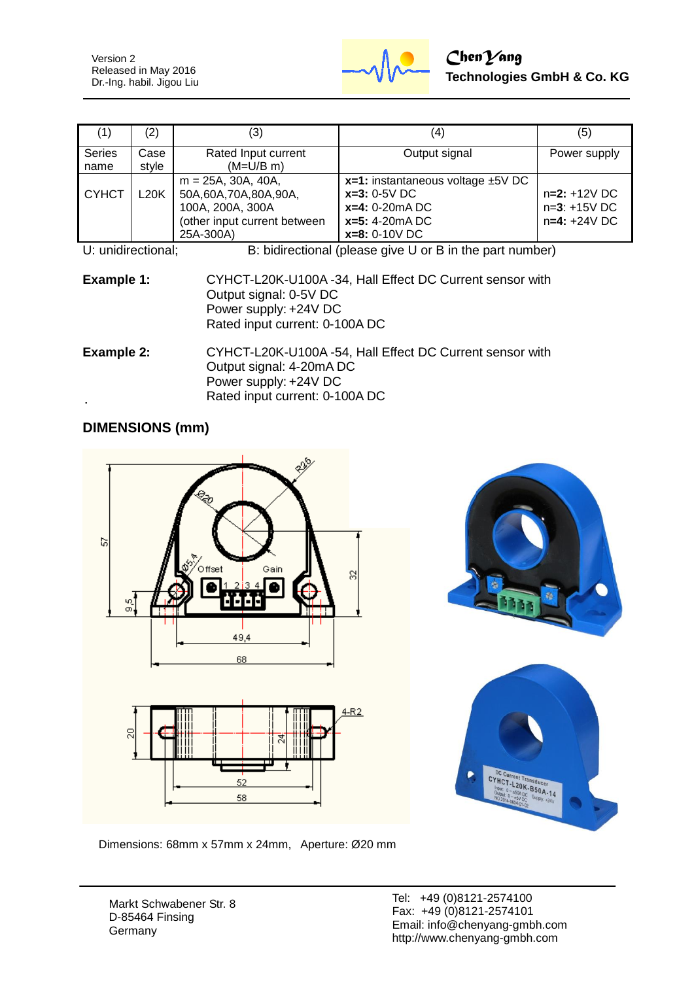Version 2 Released in May 2016 Dr.-Ing. habil. Jigou Liu



| (1)                                                                            | (2)           | (3)                                                                                                            | (4)                                                                                                                  | (5)                                                |
|--------------------------------------------------------------------------------|---------------|----------------------------------------------------------------------------------------------------------------|----------------------------------------------------------------------------------------------------------------------|----------------------------------------------------|
| <b>Series</b><br>name                                                          | Case<br>style | Rated Input current<br>$(M=U/B \, m)$                                                                          | Output signal                                                                                                        | Power supply                                       |
| <b>CYHCT</b>                                                                   | L20K          | $m = 25A$ , 30A, 40A,<br>50A,60A,70A,80A,90A,<br>100A, 200A, 300A<br>(other input current between<br>25A-300A) | $x=1$ : instantaneous voltage $\pm$ 5V DC<br>$x=3:0-5V$ DC<br>$x=4: 0-20mA DC$<br>$x=5: 4-20mADC$<br>$x=8: 0-10V$ DC | $n=2: +12V$ DC<br>$n=3: +15V$ DC<br>$n=4: +24V$ DC |
| B: bidirectional (please give U or B in the part number)<br>U: unidirectional: |               |                                                                                                                |                                                                                                                      |                                                    |

| U. uniulectional. | D. Digital conditional (prease give O OF D III the part humber)                       |
|-------------------|---------------------------------------------------------------------------------------|
| Example 1:        | CYHCT-L20K-U100A -34, Hall Effect DC Current sensor with<br>Output signal: $0.5V$ DC. |

|            | Output signal: 0-5V DC                                   |
|------------|----------------------------------------------------------|
|            | Power supply: +24V DC<br>Rated input current: 0-100A DC  |
| Evample 2. | CVHCT-L20K-L1100A -54 Holl Effect DC Current sensor with |

| Example 2: | CYHCT-L20K-U100A-54, Hall Effect DC Current sensor with |
|------------|---------------------------------------------------------|
|            | Output signal: 4-20mA DC                                |
|            | Power supply: +24V DC                                   |
|            | Rated input current: 0-100A DC                          |

## **DIMENSIONS (mm)**



Dimensions: 68mm x 57mm x 24mm, Aperture: Ø20 mm